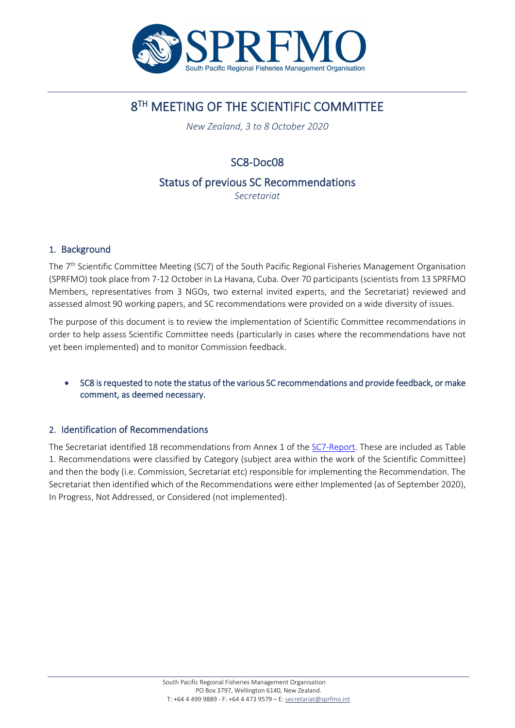

# 8<sup>TH</sup> MEETING OF THE SCIENTIFIC COMMITTEE

*New Zealand, 3 to 8 October 2020*

# SC8-Doc08

### Status of previous SC Recommendations

*Secretariat*

#### 1. Background

The 7<sup>th</sup> Scientific Committee Meeting (SC7) of the South Pacific Regional Fisheries Management Organisation (SPRFMO) took place from 7-12 October in La Havana, Cuba. Over 70 participants (scientists from 13 SPRFMO Members, representatives from 3 NGOs, two external invited experts, and the Secretariat) reviewed and assessed almost 90 working papers, and SC recommendations were provided on a wide diversity of issues.

The purpose of this document is to review the implementation of Scientific Committee recommendations in order to help assess Scientific Committee needs (particularly in cases where the recommendations have not yet been implemented) and to monitor Commission feedback.

• SC8 is requested to note the status of the various SC recommendations and provide feedback, or make comment, as deemed necessary.

#### 2. Identification of Recommendations

The Secretariat identified 18 recommendations from Annex 1 of the [SC7-Report.](https://www.sprfmo.int/assets/2019-SC7/Reports/SPRFMO-SC7-Report-2019-V2.pdf) These are included as Table 1. Recommendations were classified by Category (subject area within the work of the Scientific Committee) and then the body (i.e. Commission, Secretariat etc) responsible for implementing the Recommendation. The Secretariat then identified which of the Recommendations were either Implemented (as of September 2020), In Progress, Not Addressed, or Considered (not implemented).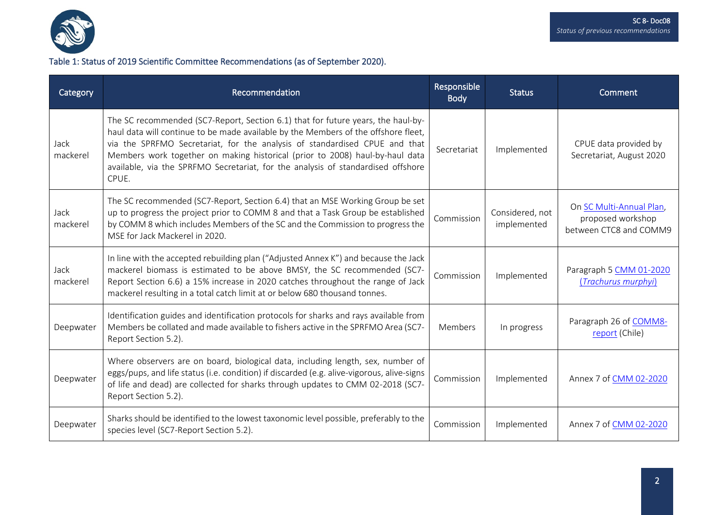

## Table 1: Status of 2019 Scientific Committee Recommendations (as of September 2020).

| Category         | Recommendation                                                                                                                                                                                                                                                                                                                                                                                                                    | Responsible<br><b>Body</b> | <b>Status</b>                  | Comment                                                                 |
|------------------|-----------------------------------------------------------------------------------------------------------------------------------------------------------------------------------------------------------------------------------------------------------------------------------------------------------------------------------------------------------------------------------------------------------------------------------|----------------------------|--------------------------------|-------------------------------------------------------------------------|
| Jack<br>mackerel | The SC recommended (SC7-Report, Section 6.1) that for future years, the haul-by-<br>haul data will continue to be made available by the Members of the offshore fleet,<br>via the SPRFMO Secretariat, for the analysis of standardised CPUE and that<br>Members work together on making historical (prior to 2008) haul-by-haul data<br>available, via the SPRFMO Secretariat, for the analysis of standardised offshore<br>CPUE. | Secretariat                | Implemented                    | CPUE data provided by<br>Secretariat, August 2020                       |
| Jack<br>mackerel | The SC recommended (SC7-Report, Section 6.4) that an MSE Working Group be set<br>up to progress the project prior to COMM 8 and that a Task Group be established<br>by COMM 8 which includes Members of the SC and the Commission to progress the<br>MSE for Jack Mackerel in 2020.                                                                                                                                               | Commission                 | Considered, not<br>implemented | On SC Multi-Annual Plan,<br>proposed workshop<br>between CTC8 and COMM9 |
| Jack<br>mackerel | In line with the accepted rebuilding plan ("Adjusted Annex K") and because the Jack<br>mackerel biomass is estimated to be above BMSY, the SC recommended (SC7-<br>Report Section 6.6) a 15% increase in 2020 catches throughout the range of Jack<br>mackerel resulting in a total catch limit at or below 680 thousand tonnes.                                                                                                  | Commission                 | Implemented                    | Paragraph 5 CMM 01-2020<br>(Trachurus murphyi)                          |
| Deepwater        | Identification guides and identification protocols for sharks and rays available from<br>Members be collated and made available to fishers active in the SPRFMO Area (SC7-<br>Report Section 5.2).                                                                                                                                                                                                                                | Members                    | In progress                    | Paragraph 26 of COMM8-<br>report (Chile)                                |
| Deepwater        | Where observers are on board, biological data, including length, sex, number of<br>eggs/pups, and life status (i.e. condition) if discarded (e.g. alive-vigorous, alive-signs<br>of life and dead) are collected for sharks through updates to CMM 02-2018 (SC7-<br>Report Section 5.2).                                                                                                                                          | Commission                 | Implemented                    | Annex 7 of CMM 02-2020                                                  |
| Deepwater        | Sharks should be identified to the lowest taxonomic level possible, preferably to the<br>species level (SC7-Report Section 5.2).                                                                                                                                                                                                                                                                                                  | Commission                 | Implemented                    | Annex 7 of CMM 02-2020                                                  |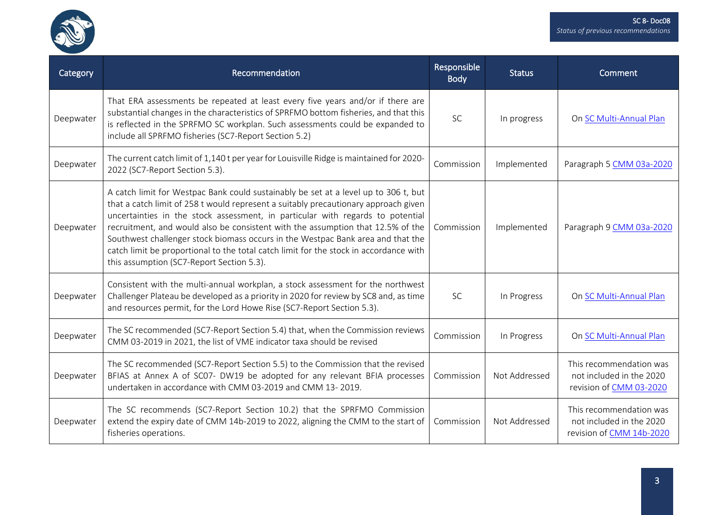

| Category  | Recommendation                                                                                                                                                                                                                                                                                                                                                                                                                                                                                                                                                           | Responsible<br><b>Body</b> | <b>Status</b> | Comment                                                                         |
|-----------|--------------------------------------------------------------------------------------------------------------------------------------------------------------------------------------------------------------------------------------------------------------------------------------------------------------------------------------------------------------------------------------------------------------------------------------------------------------------------------------------------------------------------------------------------------------------------|----------------------------|---------------|---------------------------------------------------------------------------------|
| Deepwater | That ERA assessments be repeated at least every five years and/or if there are<br>substantial changes in the characteristics of SPRFMO bottom fisheries, and that this<br>is reflected in the SPRFMO SC workplan. Such assessments could be expanded to<br>include all SPRFMO fisheries (SC7-Report Section 5.2)                                                                                                                                                                                                                                                         | <b>SC</b>                  | In progress   | On SC Multi-Annual Plan                                                         |
| Deepwater | The current catch limit of 1,140 t per year for Louisville Ridge is maintained for 2020-<br>2022 (SC7-Report Section 5.3).                                                                                                                                                                                                                                                                                                                                                                                                                                               | Commission                 | Implemented   | Paragraph 5 CMM 03a-2020                                                        |
| Deepwater | A catch limit for Westpac Bank could sustainably be set at a level up to 306 t, but<br>that a catch limit of 258 t would represent a suitably precautionary approach given<br>uncertainties in the stock assessment, in particular with regards to potential<br>recruitment, and would also be consistent with the assumption that 12.5% of the<br>Southwest challenger stock biomass occurs in the Westpac Bank area and that the<br>catch limit be proportional to the total catch limit for the stock in accordance with<br>this assumption (SC7-Report Section 5.3). | Commission                 | Implemented   | Paragraph 9 CMM 03a-2020                                                        |
| Deepwater | Consistent with the multi-annual workplan, a stock assessment for the northwest<br>Challenger Plateau be developed as a priority in 2020 for review by SC8 and, as time<br>and resources permit, for the Lord Howe Rise (SC7-Report Section 5.3).                                                                                                                                                                                                                                                                                                                        | <b>SC</b>                  | In Progress   | On SC Multi-Annual Plan                                                         |
| Deepwater | The SC recommended (SC7-Report Section 5.4) that, when the Commission reviews<br>CMM 03-2019 in 2021, the list of VME indicator taxa should be revised                                                                                                                                                                                                                                                                                                                                                                                                                   | Commission                 | In Progress   | On SC Multi-Annual Plan                                                         |
| Deepwater | The SC recommended (SC7-Report Section 5.5) to the Commission that the revised<br>BFIAS at Annex A of SC07- DW19 be adopted for any relevant BFIA processes<br>undertaken in accordance with CMM 03-2019 and CMM 13-2019.                                                                                                                                                                                                                                                                                                                                                | Commission                 | Not Addressed | This recommendation was<br>not included in the 2020<br>revision of CMM 03-2020  |
| Deepwater | The SC recommends (SC7-Report Section 10.2) that the SPRFMO Commission<br>extend the expiry date of CMM 14b-2019 to 2022, aligning the CMM to the start of<br>fisheries operations.                                                                                                                                                                                                                                                                                                                                                                                      | Commission                 | Not Addressed | This recommendation was<br>not included in the 2020<br>revision of CMM 14b-2020 |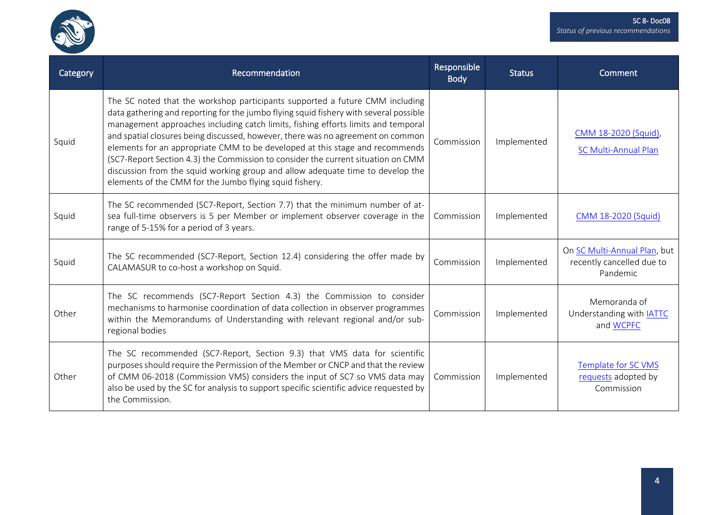

| Category | Recommendation                                                                                                                                                                                                                                                                                                                                                                                                                                                                                                                                                                                                                                                 | Responsible<br>Body | <b>Status</b> | Comment                                                               |
|----------|----------------------------------------------------------------------------------------------------------------------------------------------------------------------------------------------------------------------------------------------------------------------------------------------------------------------------------------------------------------------------------------------------------------------------------------------------------------------------------------------------------------------------------------------------------------------------------------------------------------------------------------------------------------|---------------------|---------------|-----------------------------------------------------------------------|
| Squid    | The SC noted that the workshop participants supported a future CMM including<br>data gathering and reporting for the jumbo flying squid fishery with several possible<br>management approaches including catch limits, fishing efforts limits and temporal<br>and spatial closures being discussed, however, there was no agreement on common<br>elements for an appropriate CMM to be developed at this stage and recommends<br>(SC7-Report Section 4.3) the Commission to consider the current situation on CMM<br>discussion from the squid working group and allow adequate time to develop the<br>elements of the CMM for the Jumbo flying squid fishery. | Commission          | Implemented   | CMM 18-2020 (Squid),<br>SC Multi-Annual Plan                          |
| Squid    | The SC recommended (SC7-Report, Section 7.7) that the minimum number of at-<br>sea full-time observers is 5 per Member or implement observer coverage in the<br>range of 5-15% for a period of 3 years.                                                                                                                                                                                                                                                                                                                                                                                                                                                        | Commission          | Implemented   | CMM 18-2020 (Squid)                                                   |
| Squid    | The SC recommended (SC7-Report, Section 12.4) considering the offer made by<br>CALAMASUR to co-host a workshop on Squid.                                                                                                                                                                                                                                                                                                                                                                                                                                                                                                                                       | Commission          | Implemented   | On SC Multi-Annual Plan, but<br>recently cancelled due to<br>Pandemic |
| Other    | The SC recommends (SC7-Report Section 4.3) the Commission to consider<br>mechanisms to harmonise coordination of data collection in observer programmes<br>within the Memorandums of Understanding with relevant regional and/or sub-<br>regional bodies                                                                                                                                                                                                                                                                                                                                                                                                       | Commission          | Implemented   | Memoranda of<br>Understanding with IATTC<br>and WCPFC                 |
| Other    | The SC recommended (SC7-Report, Section 9.3) that VMS data for scientific<br>purposes should require the Permission of the Member or CNCP and that the review<br>of CMM 06-2018 (Commission VMS) considers the input of SC7 so VMS data may<br>also be used by the SC for analysis to support specific scientific advice requested by<br>the Commission.                                                                                                                                                                                                                                                                                                       | Commission          | Implemented   | Template for SC VMS<br>requests adopted by<br>Commission              |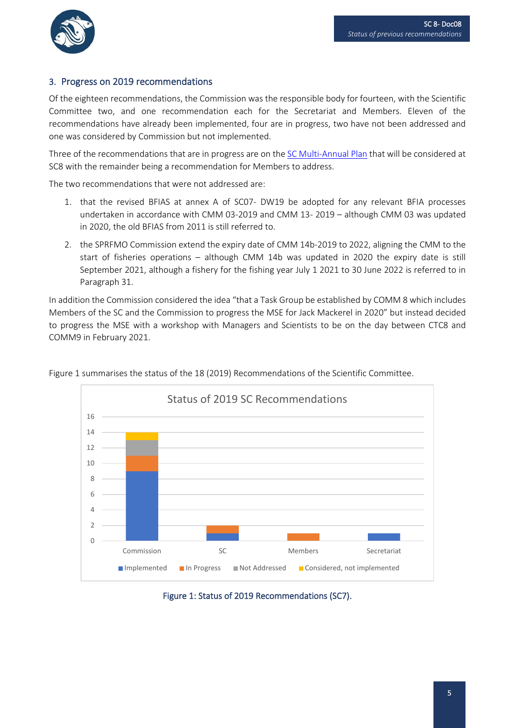

#### 3. Progress on 2019 recommendations

Of the eighteen recommendations, the Commission was the responsible body for fourteen, with the Scientific Committee two, and one recommendation each for the Secretariat and Members. Eleven of the recommendations have already been implemented, four are in progress, two have not been addressed and one was considered by Commission but not implemented.

Three of the recommendations that are in progress are on th[e SC Multi-Annual Plan](https://www.sprfmo.int/assets/0-2020-Annual-Meeting/Reports/Annex-8a-Scientific-Committee-Multi-Annual-Workplan.pdf) that will be considered at SC8 with the remainder being a recommendation for Members to address.

The two recommendations that were not addressed are:

- 1. that the revised BFIAS at annex A of SC07- DW19 be adopted for any relevant BFIA processes undertaken in accordance with CMM 03-2019 and CMM 13- 2019 – although CMM 03 was updated in 2020, the old BFIAS from 2011 is still referred to.
- 2. the SPRFMO Commission extend the expiry date of CMM 14b-2019 to 2022, aligning the CMM to the start of fisheries operations – although CMM 14b was updated in 2020 the expiry date is still September 2021, although a fishery for the fishing year July 1 2021 to 30 June 2022 is referred to in Paragraph 31.

In addition the Commission considered the idea "that a Task Group be established by COMM 8 which includes Members of the SC and the Commission to progress the MSE for Jack Mackerel in 2020" but instead decided to progress the MSE with a workshop with Managers and Scientists to be on the day between CTC8 and COMM9 in February 2021.



Figure 1 summarises the status of the 18 (2019) Recommendations of the Scientific Committee.

Figure 1: Status of 2019 Recommendations (SC7).